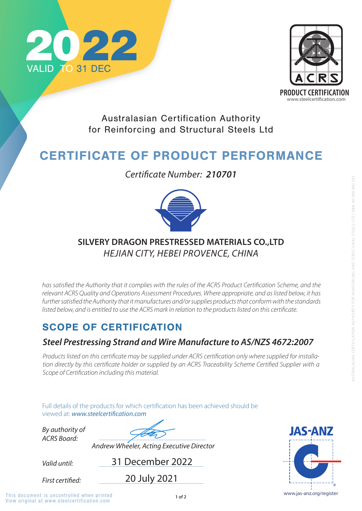

Full details of the products for which certification has been achieved should be viewed at: **www.steelcertification.com** 

## SCOPE OF CERTIFICATION

*Valid until:*

*By authority of ACRS Board:*

31 December 2022

*Andrew Wheeler, Acting Executive Director*



Australasian Certification Authority for Reinforcing and Structural Steels Ltd

# CERTIFICATE OF PRODUCT PERFORMANCE

#### *Steel Prestressing Strand and Wire Manufacture to AS/NZS 4672:2007*

*Products listed on this certificate may be supplied under ACRS certification only where supplied for installation directly by this certificate holder or supplied by an ACRS Traceability Scheme Certified Supplier with a Scope of Certification including this material.*

*Certificate Number: 210701*



20 July 2021

**First certified:** 

View original at www.steelcertification.com This document is uncontrolled when printed and the state of  $1$  of 2 www.jas-anz.org/register



#### **SILVERY DRAGON PRESTRESSED MATERIALS CO.,LTD**  *HEJIAN CITY, HEBEI PROVENCE, CHINA*

*has satisfied the Authority that it complies with the rules of the ACRS Product Certification Scheme, and the relevant ACRS Quality and Operations Assessment Procedures. Where appropriate, and as listed below, it has*  further satisfied the Authority that it manufactures and/or supplies products that conform with the standards *listed below, and is entitled to use the ACRS mark in relation to the products listed on this certificate.*